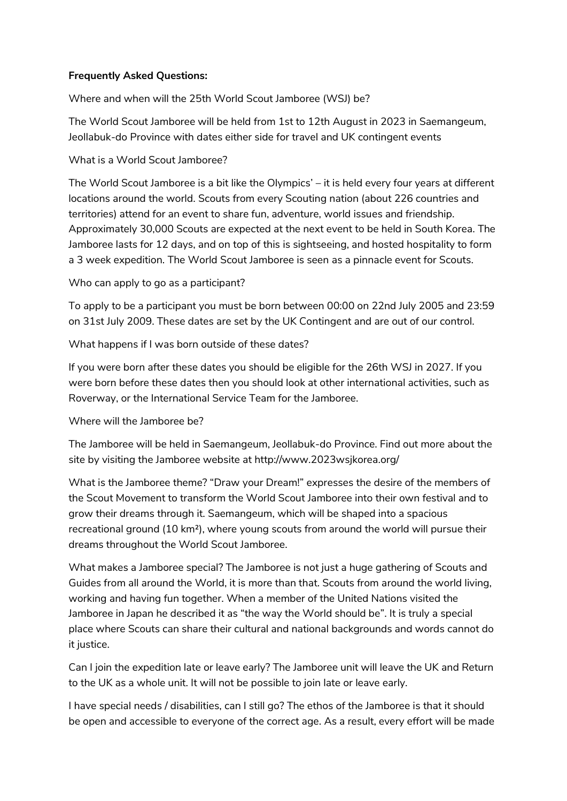## **Frequently Asked Questions:**

Where and when will the 25th World Scout Jamboree (WSJ) be?

The World Scout Jamboree will be held from 1st to 12th August in 2023 in Saemangeum, Jeollabuk-do Province with dates either side for travel and UK contingent events

## What is a World Scout Jamboree?

The World Scout Jamboree is a bit like the Olympics' – it is held every four years at different locations around the world. Scouts from every Scouting nation (about 226 countries and territories) attend for an event to share fun, adventure, world issues and friendship. Approximately 30,000 Scouts are expected at the next event to be held in South Korea. The Jamboree lasts for 12 days, and on top of this is sightseeing, and hosted hospitality to form a 3 week expedition. The World Scout Jamboree is seen as a pinnacle event for Scouts.

Who can apply to go as a participant?

To apply to be a participant you must be born between 00:00 on 22nd July 2005 and 23:59 on 31st July 2009. These dates are set by the UK Contingent and are out of our control.

What happens if I was born outside of these dates?

If you were born after these dates you should be eligible for the 26th WSJ in 2027. If you were born before these dates then you should look at other international activities, such as Roverway, or the International Service Team for the Jamboree.

Where will the Jamboree be?

The Jamboree will be held in Saemangeum, Jeollabuk-do Province. Find out more about the site by visiting the Jamboree website at http://www.2023wsjkorea.org/

What is the Jamboree theme? "Draw your Dream!" expresses the desire of the members of the Scout Movement to transform the World Scout Jamboree into their own festival and to grow their dreams through it. Saemangeum, which will be shaped into a spacious recreational ground (10 km²), where young scouts from around the world will pursue their dreams throughout the World Scout Jamboree.

What makes a Jamboree special? The Jamboree is not just a huge gathering of Scouts and Guides from all around the World, it is more than that. Scouts from around the world living, working and having fun together. When a member of the United Nations visited the Jamboree in Japan he described it as "the way the World should be". It is truly a special place where Scouts can share their cultural and national backgrounds and words cannot do it justice.

Can I join the expedition late or leave early? The Jamboree unit will leave the UK and Return to the UK as a whole unit. It will not be possible to join late or leave early.

I have special needs / disabilities, can I still go? The ethos of the Jamboree is that it should be open and accessible to everyone of the correct age. As a result, every effort will be made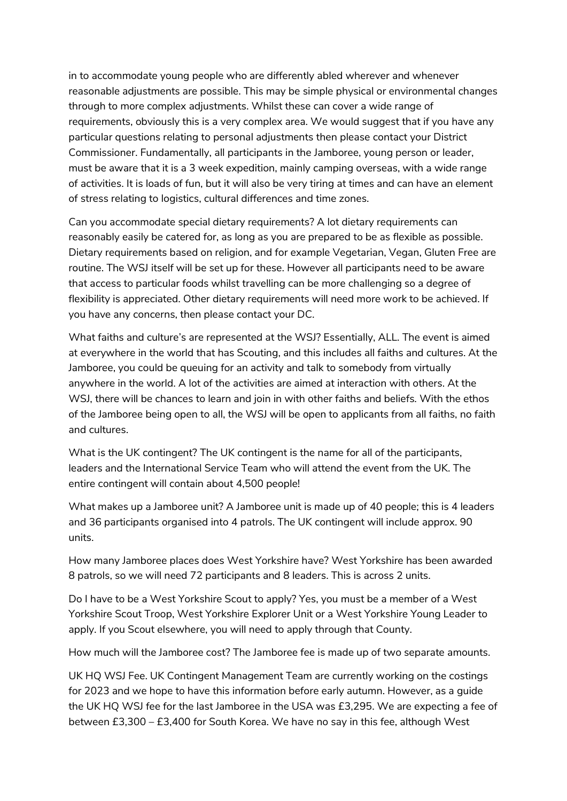in to accommodate young people who are differently abled wherever and whenever reasonable adjustments are possible. This may be simple physical or environmental changes through to more complex adjustments. Whilst these can cover a wide range of requirements, obviously this is a very complex area. We would suggest that if you have any particular questions relating to personal adjustments then please contact your District Commissioner. Fundamentally, all participants in the Jamboree, young person or leader, must be aware that it is a 3 week expedition, mainly camping overseas, with a wide range of activities. It is loads of fun, but it will also be very tiring at times and can have an element of stress relating to logistics, cultural differences and time zones.

Can you accommodate special dietary requirements? A lot dietary requirements can reasonably easily be catered for, as long as you are prepared to be as flexible as possible. Dietary requirements based on religion, and for example Vegetarian, Vegan, Gluten Free are routine. The WSJ itself will be set up for these. However all participants need to be aware that access to particular foods whilst travelling can be more challenging so a degree of flexibility is appreciated. Other dietary requirements will need more work to be achieved. If you have any concerns, then please contact your DC.

What faiths and culture's are represented at the WSJ? Essentially, ALL. The event is aimed at everywhere in the world that has Scouting, and this includes all faiths and cultures. At the Jamboree, you could be queuing for an activity and talk to somebody from virtually anywhere in the world. A lot of the activities are aimed at interaction with others. At the WSJ, there will be chances to learn and join in with other faiths and beliefs. With the ethos of the Jamboree being open to all, the WSJ will be open to applicants from all faiths, no faith and cultures.

What is the UK contingent? The UK contingent is the name for all of the participants, leaders and the International Service Team who will attend the event from the UK. The entire contingent will contain about 4,500 people!

What makes up a Jamboree unit? A Jamboree unit is made up of 40 people; this is 4 leaders and 36 participants organised into 4 patrols. The UK contingent will include approx. 90 units.

How many Jamboree places does West Yorkshire have? West Yorkshire has been awarded 8 patrols, so we will need 72 participants and 8 leaders. This is across 2 units.

Do I have to be a West Yorkshire Scout to apply? Yes, you must be a member of a West Yorkshire Scout Troop, West Yorkshire Explorer Unit or a West Yorkshire Young Leader to apply. If you Scout elsewhere, you will need to apply through that County.

How much will the Jamboree cost? The Jamboree fee is made up of two separate amounts.

UK HQ WSJ Fee. UK Contingent Management Team are currently working on the costings for 2023 and we hope to have this information before early autumn. However, as a guide the UK HQ WSJ fee for the last Jamboree in the USA was £3,295. We are expecting a fee of between £3,300 – £3,400 for South Korea. We have no say in this fee, although West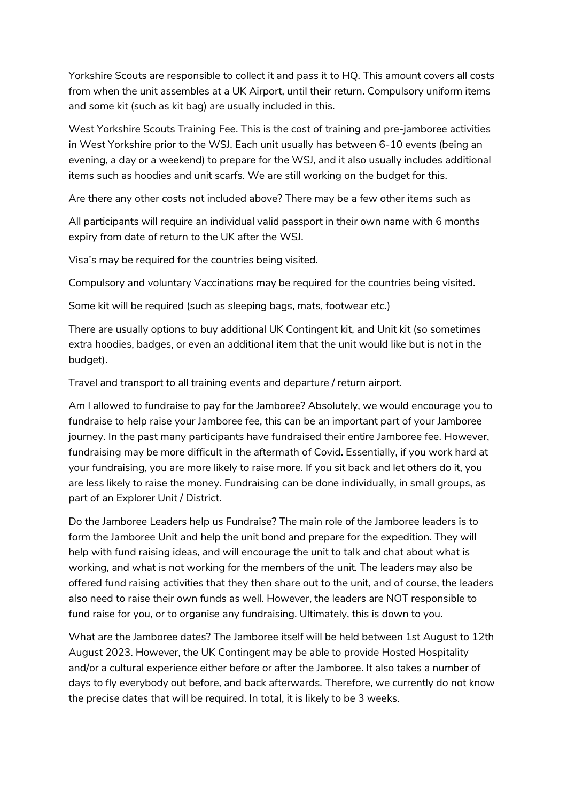Yorkshire Scouts are responsible to collect it and pass it to HQ. This amount covers all costs from when the unit assembles at a UK Airport, until their return. Compulsory uniform items and some kit (such as kit bag) are usually included in this.

West Yorkshire Scouts Training Fee. This is the cost of training and pre-jamboree activities in West Yorkshire prior to the WSJ. Each unit usually has between 6-10 events (being an evening, a day or a weekend) to prepare for the WSJ, and it also usually includes additional items such as hoodies and unit scarfs. We are still working on the budget for this.

Are there any other costs not included above? There may be a few other items such as

All participants will require an individual valid passport in their own name with 6 months expiry from date of return to the UK after the WSJ.

Visa's may be required for the countries being visited.

Compulsory and voluntary Vaccinations may be required for the countries being visited.

Some kit will be required (such as sleeping bags, mats, footwear etc.)

There are usually options to buy additional UK Contingent kit, and Unit kit (so sometimes extra hoodies, badges, or even an additional item that the unit would like but is not in the budget).

Travel and transport to all training events and departure / return airport.

Am I allowed to fundraise to pay for the Jamboree? Absolutely, we would encourage you to fundraise to help raise your Jamboree fee, this can be an important part of your Jamboree journey. In the past many participants have fundraised their entire Jamboree fee. However, fundraising may be more difficult in the aftermath of Covid. Essentially, if you work hard at your fundraising, you are more likely to raise more. If you sit back and let others do it, you are less likely to raise the money. Fundraising can be done individually, in small groups, as part of an Explorer Unit / District.

Do the Jamboree Leaders help us Fundraise? The main role of the Jamboree leaders is to form the Jamboree Unit and help the unit bond and prepare for the expedition. They will help with fund raising ideas, and will encourage the unit to talk and chat about what is working, and what is not working for the members of the unit. The leaders may also be offered fund raising activities that they then share out to the unit, and of course, the leaders also need to raise their own funds as well. However, the leaders are NOT responsible to fund raise for you, or to organise any fundraising. Ultimately, this is down to you.

What are the Jamboree dates? The Jamboree itself will be held between 1st August to 12th August 2023. However, the UK Contingent may be able to provide Hosted Hospitality and/or a cultural experience either before or after the Jamboree. It also takes a number of days to fly everybody out before, and back afterwards. Therefore, we currently do not know the precise dates that will be required. In total, it is likely to be 3 weeks.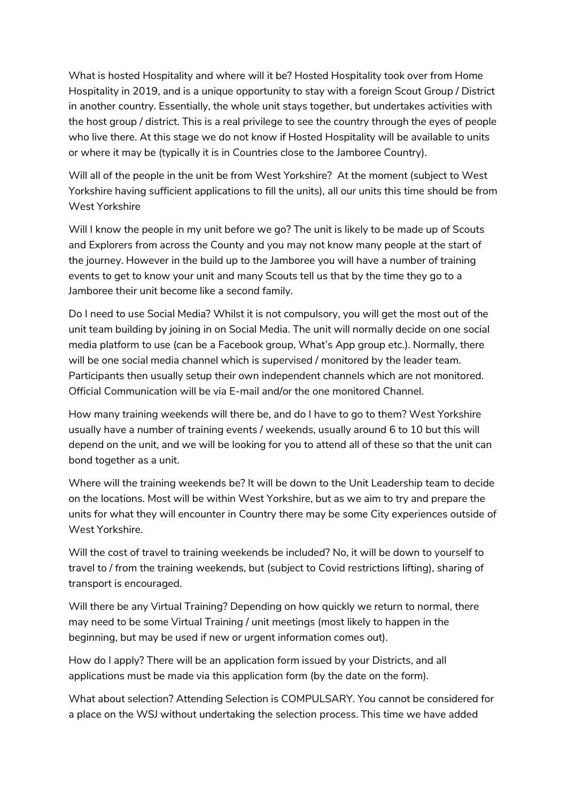What is hosted Hospitality and where will it be? Hosted Hospitality took over from Home Hospitality in 2019, and is a unique opportunity to stay with a foreign Scout Group / District in another country. Essentially, the whole unit stays together, but undertakes activities with the host group / district. This is a real privilege to see the country through the eyes of people who live there. At this stage we do not know if Hosted Hospitality will be available to units or where it may be (typically it is in Countries close to the Jamboree Country).

Will all of the people in the unit be from West Yorkshire? At the moment (subject to West Yorkshire having sufficient applications to fill the units), all our units this time should be from West Yorkshire

Will I know the people in my unit before we go? The unit is likely to be made up of Scouts and Explorers from across the County and you may not know many people at the start of the journey. However in the build up to the Jamboree you will have a number of training events to get to know your unit and many Scouts tell us that by the time they go to a Jamboree their unit become like a second family.

Do I need to use Social Media? Whilst it is not compulsory, you will get the most out of the unit team building by joining in on Social Media. The unit will normally decide on one social media platform to use (can be a Facebook group, What's App group etc.). Normally, there will be one social media channel which is supervised / monitored by the leader team. Participants then usually setup their own independent channels which are not monitored. Official Communication will be via E-mail and/or the one monitored Channel.

How many training weekends will there be, and do I have to go to them? West Yorkshire usually have a number of training events / weekends, usually around 6 to 10 but this will depend on the unit, and we will be looking for you to attend all of these so that the unit can bond together as a unit.

Where will the training weekends be? It will be down to the Unit Leadership team to decide on the locations. Most will be within West Yorkshire, but as we aim to try and prepare the units for what they will encounter in Country there may be some City experiences outside of West Yorkshire.

Will the cost of travel to training weekends be included? No, it will be down to yourself to travel to / from the training weekends, but (subject to Covid restrictions lifting), sharing of transport is encouraged.

Will there be any Virtual Training? Depending on how quickly we return to normal, there may need to be some Virtual Training / unit meetings (most likely to happen in the beginning, but may be used if new or urgent information comes out).

How do I apply? There will be an application form issued by your Districts, and all applications must be made via this application form (by the date on the form).

What about selection? Attending Selection is COMPULSARY. You cannot be considered for a place on the WSJ without undertaking the selection process. This time we have added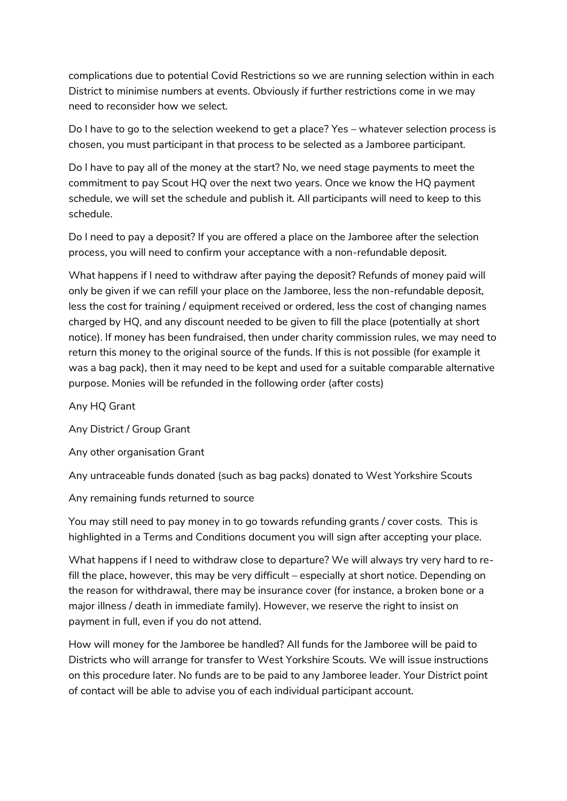complications due to potential Covid Restrictions so we are running selection within in each District to minimise numbers at events. Obviously if further restrictions come in we may need to reconsider how we select.

Do I have to go to the selection weekend to get a place? Yes – whatever selection process is chosen, you must participant in that process to be selected as a Jamboree participant.

Do I have to pay all of the money at the start? No, we need stage payments to meet the commitment to pay Scout HQ over the next two years. Once we know the HQ payment schedule, we will set the schedule and publish it. All participants will need to keep to this schedule.

Do I need to pay a deposit? If you are offered a place on the Jamboree after the selection process, you will need to confirm your acceptance with a non-refundable deposit.

What happens if I need to withdraw after paying the deposit? Refunds of money paid will only be given if we can refill your place on the Jamboree, less the non-refundable deposit, less the cost for training / equipment received or ordered, less the cost of changing names charged by HQ, and any discount needed to be given to fill the place (potentially at short notice). If money has been fundraised, then under charity commission rules, we may need to return this money to the original source of the funds. If this is not possible (for example it was a bag pack), then it may need to be kept and used for a suitable comparable alternative purpose. Monies will be refunded in the following order (after costs)

Any HQ Grant

Any District / Group Grant

Any other organisation Grant

Any untraceable funds donated (such as bag packs) donated to West Yorkshire Scouts

Any remaining funds returned to source

You may still need to pay money in to go towards refunding grants / cover costs. This is highlighted in a Terms and Conditions document you will sign after accepting your place.

What happens if I need to withdraw close to departure? We will always try very hard to refill the place, however, this may be very difficult – especially at short notice. Depending on the reason for withdrawal, there may be insurance cover (for instance, a broken bone or a major illness / death in immediate family). However, we reserve the right to insist on payment in full, even if you do not attend.

How will money for the Jamboree be handled? All funds for the Jamboree will be paid to Districts who will arrange for transfer to West Yorkshire Scouts. We will issue instructions on this procedure later. No funds are to be paid to any Jamboree leader. Your District point of contact will be able to advise you of each individual participant account.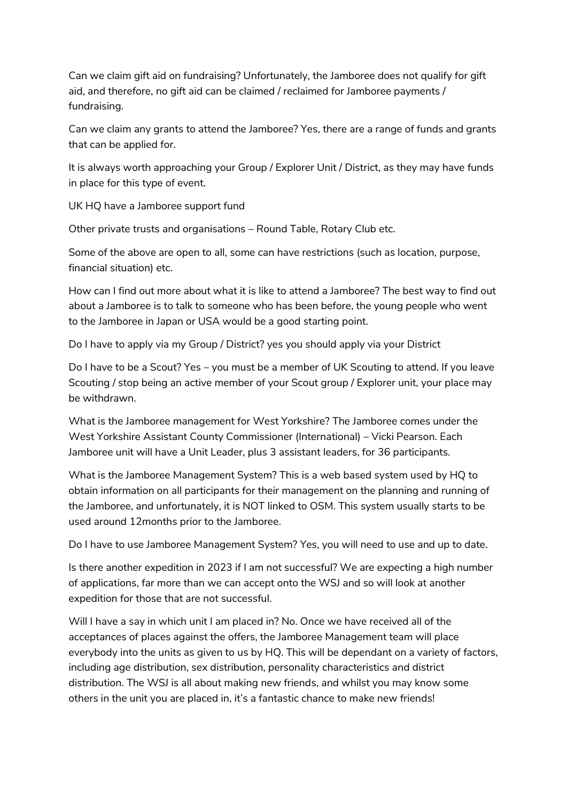Can we claim gift aid on fundraising? Unfortunately, the Jamboree does not qualify for gift aid, and therefore, no gift aid can be claimed / reclaimed for Jamboree payments / fundraising.

Can we claim any grants to attend the Jamboree? Yes, there are a range of funds and grants that can be applied for.

It is always worth approaching your Group / Explorer Unit / District, as they may have funds in place for this type of event.

UK HQ have a Jamboree support fund

Other private trusts and organisations – Round Table, Rotary Club etc.

Some of the above are open to all, some can have restrictions (such as location, purpose, financial situation) etc.

How can I find out more about what it is like to attend a Jamboree? The best way to find out about a Jamboree is to talk to someone who has been before, the young people who went to the Jamboree in Japan or USA would be a good starting point.

Do I have to apply via my Group / District? yes you should apply via your District

Do I have to be a Scout? Yes – you must be a member of UK Scouting to attend. If you leave Scouting / stop being an active member of your Scout group / Explorer unit, your place may be withdrawn.

What is the Jamboree management for West Yorkshire? The Jamboree comes under the West Yorkshire Assistant County Commissioner (International) – Vicki Pearson. Each Jamboree unit will have a Unit Leader, plus 3 assistant leaders, for 36 participants.

What is the Jamboree Management System? This is a web based system used by HQ to obtain information on all participants for their management on the planning and running of the Jamboree, and unfortunately, it is NOT linked to OSM. This system usually starts to be used around 12months prior to the Jamboree.

Do I have to use Jamboree Management System? Yes, you will need to use and up to date.

Is there another expedition in 2023 if I am not successful? We are expecting a high number of applications, far more than we can accept onto the WSJ and so will look at another expedition for those that are not successful.

Will I have a say in which unit I am placed in? No. Once we have received all of the acceptances of places against the offers, the Jamboree Management team will place everybody into the units as given to us by HQ. This will be dependant on a variety of factors, including age distribution, sex distribution, personality characteristics and district distribution. The WSJ is all about making new friends, and whilst you may know some others in the unit you are placed in, it's a fantastic chance to make new friends!